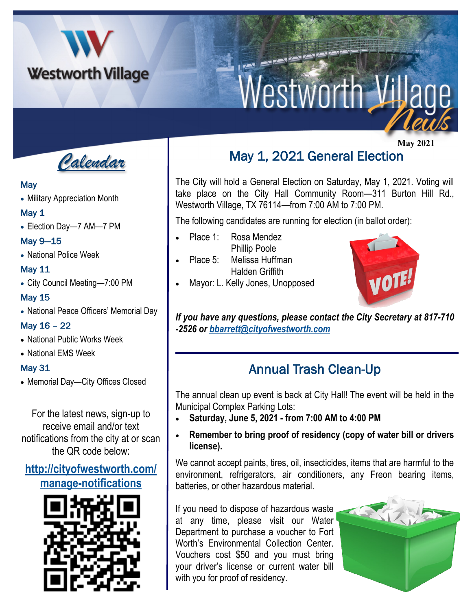

# Westworth Village

*Calendar*

#### **May**

• Military Appreciation Month

#### May 1

• Election Day—7 AM—7 PM

May 9—15

• National Police Week

#### May 11

• City Council Meeting—7:00 PM

May 15

• National Peace Officers' Memorial Day

## May 16 – 22

- National Public Works Week
- National EMS Week

## May 31

• Memorial Day—City Offices Closed

For the latest news, sign-up to receive email and/or text notifications from the city at or scan the QR code below:

# **[http://cityofwestworth.com/](http://cityofwestworth.com/manage-notifications) [manage-notifications](http://cityofwestworth.com/manage-notifications)**



# **May 2021** May 1, 2021 General Election

The City will hold a General Election on Saturday, May 1, 2021. Voting will take place on the City Hall Community Room—311 Burton Hill Rd., Westworth Village, TX 76114—from 7:00 AM to 7:00 PM.

The following candidates are running for election (in ballot order):

- Place 1: Rosa Mendez Phillip Poole
- Place 5: Melissa Huffman Halden Griffith
- Mayor: L. Kelly Jones, Unopposed



*If you have any questions, please contact the City Secretary at 817-710 -2526 or [bbarrett@cityofwestworth.com](mailto:bbarrett@cityofwestworth.com)*

# Annual Trash Clean-Up

The annual clean up event is back at City Hall! The event will be held in the Municipal Complex Parking Lots:

- **Saturday, June 5, 2021 - from 7:00 AM to 4:00 PM**
- **Remember to bring proof of residency (copy of water bill or drivers license).**

We cannot accept paints, tires, oil, insecticides, items that are harmful to the environment, refrigerators, air conditioners, any Freon bearing items, batteries, or other hazardous material.

If you need to dispose of hazardous waste at any time, please visit our Water Department to purchase a voucher to Fort Worth's Environmental Collection Center. Vouchers cost \$50 and you must bring your driver's license or current water bill with you for proof of residency.